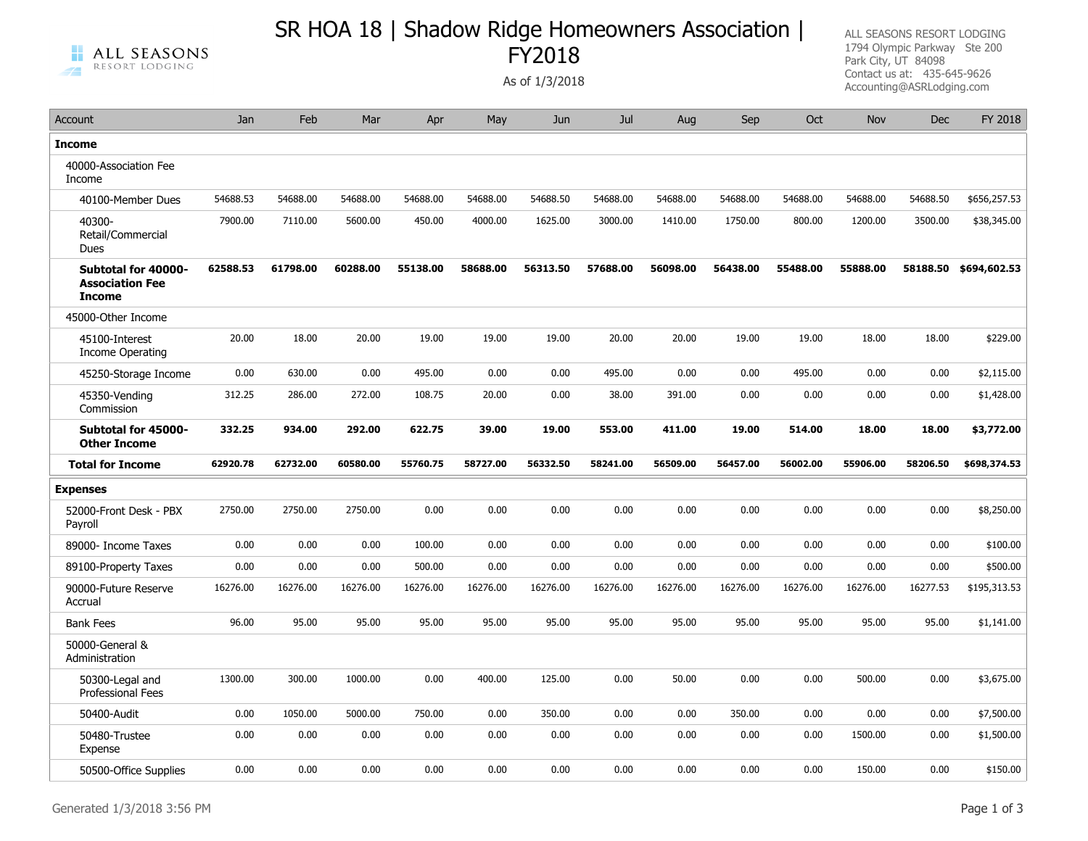## SR HOA 18 | Shadow Ridge Homeowners Association | FY2018

Account Jan Feb Mar Apr May Jun Jul Aug Sep Oct Nov Dec FY 2018

ALL SEASONS RESORT LODGING 1794 Olympic Parkway Ste 200 Park City, UT 84098 Contact us at: 435-645-9626 As of 1/3/2018<br>Accounting@ASRLodging.com

| <b>Income</b>                                                  |          |          |          |          |          |          |          |          |          |          |          |          |                       |
|----------------------------------------------------------------|----------|----------|----------|----------|----------|----------|----------|----------|----------|----------|----------|----------|-----------------------|
| 40000-Association Fee<br>Income                                |          |          |          |          |          |          |          |          |          |          |          |          |                       |
| 40100-Member Dues                                              | 54688.53 | 54688.00 | 54688.00 | 54688.00 | 54688.00 | 54688.50 | 54688.00 | 54688.00 | 54688.00 | 54688.00 | 54688.00 | 54688.50 | \$656,257.53          |
| 40300-<br>Retail/Commercial<br><b>Dues</b>                     | 7900.00  | 7110.00  | 5600.00  | 450.00   | 4000.00  | 1625.00  | 3000.00  | 1410.00  | 1750.00  | 800.00   | 1200.00  | 3500.00  | \$38,345.00           |
| Subtotal for 40000-<br><b>Association Fee</b><br><b>Income</b> | 62588.53 | 61798.00 | 60288.00 | 55138.00 | 58688.00 | 56313.50 | 57688.00 | 56098.00 | 56438.00 | 55488.00 | 55888.00 |          | 58188.50 \$694,602.53 |
| 45000-Other Income                                             |          |          |          |          |          |          |          |          |          |          |          |          |                       |
| 45100-Interest<br>Income Operating                             | 20.00    | 18.00    | 20.00    | 19.00    | 19.00    | 19.00    | 20.00    | 20.00    | 19.00    | 19.00    | 18.00    | 18.00    | \$229.00              |
| 45250-Storage Income                                           | 0.00     | 630.00   | 0.00     | 495.00   | 0.00     | 0.00     | 495.00   | 0.00     | 0.00     | 495.00   | 0.00     | 0.00     | \$2,115.00            |
| 45350-Vending<br>Commission                                    | 312.25   | 286.00   | 272.00   | 108.75   | 20.00    | 0.00     | 38.00    | 391.00   | 0.00     | 0.00     | 0.00     | 0.00     | \$1,428.00            |
| Subtotal for 45000-<br><b>Other Income</b>                     | 332.25   | 934.00   | 292.00   | 622.75   | 39.00    | 19.00    | 553.00   | 411.00   | 19.00    | 514.00   | 18.00    | 18.00    | \$3,772.00            |
| <b>Total for Income</b>                                        | 62920.78 | 62732.00 | 60580.00 | 55760.75 | 58727.00 | 56332.50 | 58241.00 | 56509.00 | 56457.00 | 56002.00 | 55906.00 | 58206.50 | \$698,374.53          |
| <b>Expenses</b>                                                |          |          |          |          |          |          |          |          |          |          |          |          |                       |
| 52000-Front Desk - PBX<br>Payroll                              | 2750.00  | 2750.00  | 2750.00  | 0.00     | 0.00     | 0.00     | 0.00     | 0.00     | 0.00     | 0.00     | 0.00     | 0.00     | \$8,250.00            |
| 89000- Income Taxes                                            | 0.00     | 0.00     | 0.00     | 100.00   | 0.00     | 0.00     | 0.00     | 0.00     | 0.00     | 0.00     | 0.00     | 0.00     | \$100.00              |
| 89100-Property Taxes                                           | 0.00     | 0.00     | 0.00     | 500.00   | 0.00     | 0.00     | 0.00     | 0.00     | 0.00     | 0.00     | 0.00     | 0.00     | \$500.00              |
| 90000-Future Reserve<br>Accrual                                | 16276.00 | 16276.00 | 16276.00 | 16276.00 | 16276.00 | 16276.00 | 16276.00 | 16276.00 | 16276.00 | 16276.00 | 16276.00 | 16277.53 | \$195,313.53          |
| <b>Bank Fees</b>                                               | 96.00    | 95.00    | 95.00    | 95.00    | 95.00    | 95.00    | 95.00    | 95.00    | 95.00    | 95.00    | 95.00    | 95.00    | \$1,141.00            |
| 50000-General &<br>Administration                              |          |          |          |          |          |          |          |          |          |          |          |          |                       |
| 50300-Legal and<br><b>Professional Fees</b>                    | 1300.00  | 300.00   | 1000.00  | 0.00     | 400.00   | 125.00   | 0.00     | 50.00    | 0.00     | 0.00     | 500.00   | 0.00     | \$3,675.00            |
| 50400-Audit                                                    | 0.00     | 1050.00  | 5000.00  | 750.00   | 0.00     | 350.00   | 0.00     | 0.00     | 350.00   | 0.00     | 0.00     | 0.00     | \$7,500.00            |
| 50480-Trustee<br>Expense                                       | 0.00     | 0.00     | 0.00     | 0.00     | 0.00     | 0.00     | 0.00     | 0.00     | 0.00     | 0.00     | 1500.00  | 0.00     | \$1,500.00            |
| 50500-Office Supplies                                          | 0.00     | 0.00     | 0.00     | 0.00     | 0.00     | 0.00     | 0.00     | 0.00     | 0.00     | 0.00     | 150.00   | 0.00     | \$150.00              |

## ALL SEASONS н RESORT LODGING  $\rightarrow$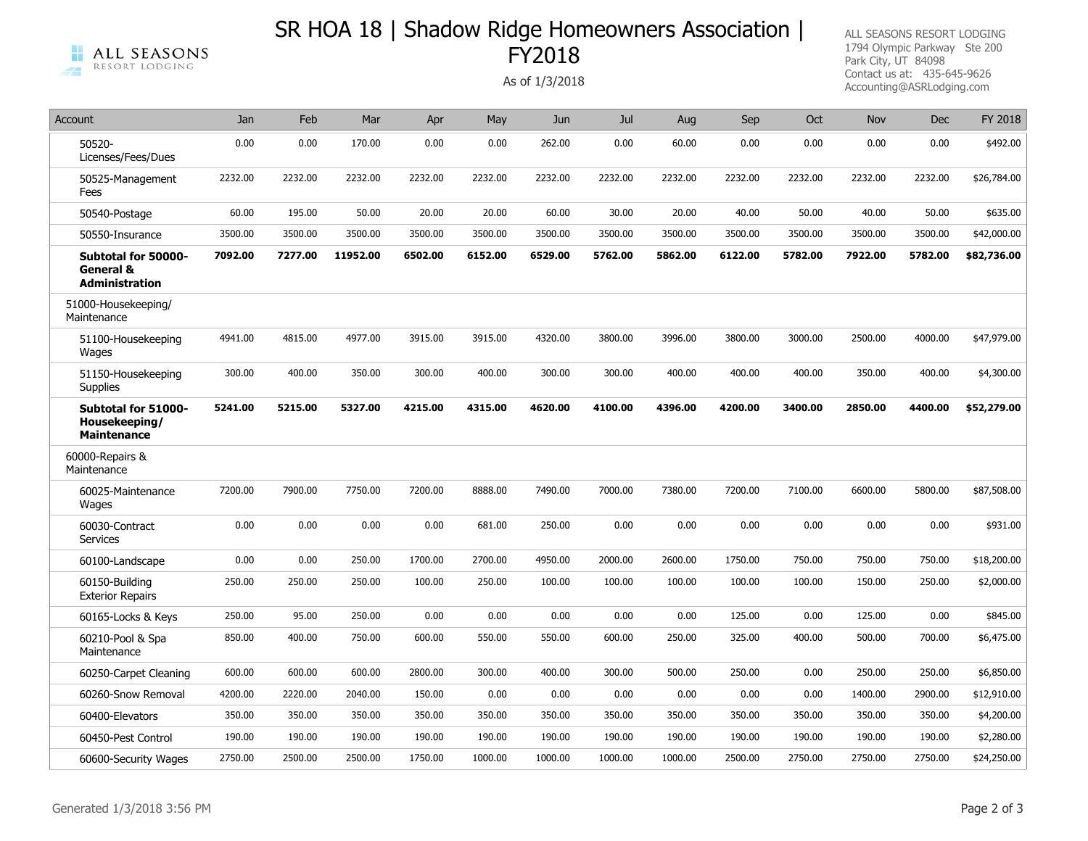## SR HOA 18 | Shadow Ridge Homeowners Association | FY2018

ALL SEASONS RESORT LODGING 1794 Olympic Parkway Ste 200 Park City, UT 84098 Contact us at: 435-645-9626 As of 1/3/2018<br>Accounting@ASRLodging.com

| s of 1/3/2018 |  |  |  |
|---------------|--|--|--|
|               |  |  |  |

| Account                                                    | Jan     | Feb     | Mar      | Apr     | May     | Jun     | Jul     | Aug     | Sep     | Oct     | Nov     | <b>Dec</b> | FY 2018     |
|------------------------------------------------------------|---------|---------|----------|---------|---------|---------|---------|---------|---------|---------|---------|------------|-------------|
| 50520-<br>Licenses/Fees/Dues                               | 0.00    | 0.00    | 170.00   | 0.00    | 0.00    | 262.00  | 0.00    | 60.00   | 0.00    | 0.00    | 0.00    | 0.00       | \$492.00    |
| 50525-Management<br>Fees                                   | 2232.00 | 2232.00 | 2232.00  | 2232.00 | 2232.00 | 2232.00 | 2232.00 | 2232.00 | 2232.00 | 2232.00 | 2232.00 | 2232.00    | \$26,784.00 |
| 50540-Postage                                              | 60.00   | 195.00  | 50.00    | 20.00   | 20.00   | 60.00   | 30.00   | 20.00   | 40.00   | 50.00   | 40.00   | 50.00      | \$635.00    |
| 50550-Insurance                                            | 3500.00 | 3500.00 | 3500.00  | 3500.00 | 3500.00 | 3500.00 | 3500.00 | 3500.00 | 3500.00 | 3500.00 | 3500.00 | 3500.00    | \$42,000.00 |
| Subtotal for 50000-<br>General &<br><b>Administration</b>  | 7092.00 | 7277.00 | 11952.00 | 6502.00 | 6152.00 | 6529.00 | 5762.00 | 5862.00 | 6122.00 | 5782.00 | 7922.00 | 5782.00    | \$82,736.00 |
| 51000-Housekeeping/<br>Maintenance                         |         |         |          |         |         |         |         |         |         |         |         |            |             |
| 51100-Housekeeping<br>Wages                                | 4941.00 | 4815.00 | 4977.00  | 3915.00 | 3915.00 | 4320.00 | 3800.00 | 3996.00 | 3800.00 | 3000.00 | 2500.00 | 4000.00    | \$47,979.00 |
| 51150-Housekeeping<br>Supplies                             | 300.00  | 400.00  | 350.00   | 300.00  | 400.00  | 300.00  | 300.00  | 400.00  | 400.00  | 400.00  | 350.00  | 400.00     | \$4,300.00  |
| Subtotal for 51000-<br>Housekeeping/<br><b>Maintenance</b> | 5241.00 | 5215.00 | 5327.00  | 4215.00 | 4315.00 | 4620.00 | 4100.00 | 4396.00 | 4200.00 | 3400.00 | 2850.00 | 4400.00    | \$52,279.00 |
| 60000-Repairs &<br>Maintenance                             |         |         |          |         |         |         |         |         |         |         |         |            |             |
| 60025-Maintenance<br>Wages                                 | 7200.00 | 7900.00 | 7750.00  | 7200.00 | 8888.00 | 7490.00 | 7000.00 | 7380.00 | 7200.00 | 7100.00 | 6600.00 | 5800.00    | \$87,508.00 |
| 60030-Contract<br>Services                                 | 0.00    | 0.00    | 0.00     | 0.00    | 681.00  | 250.00  | 0.00    | 0.00    | 0.00    | 0.00    | 0.00    | 0.00       | \$931.00    |
| 60100-Landscape                                            | 0.00    | 0.00    | 250.00   | 1700.00 | 2700.00 | 4950.00 | 2000.00 | 2600.00 | 1750.00 | 750.00  | 750.00  | 750.00     | \$18,200.00 |
| 60150-Building<br><b>Exterior Repairs</b>                  | 250.00  | 250.00  | 250.00   | 100.00  | 250.00  | 100.00  | 100.00  | 100.00  | 100.00  | 100.00  | 150.00  | 250.00     | \$2,000.00  |
| 60165-Locks & Keys                                         | 250.00  | 95.00   | 250.00   | 0.00    | 0.00    | 0.00    | 0.00    | 0.00    | 125.00  | 0.00    | 125.00  | 0.00       | \$845.00    |
| 60210-Pool & Spa<br>Maintenance                            | 850.00  | 400.00  | 750.00   | 600.00  | 550.00  | 550.00  | 600.00  | 250.00  | 325.00  | 400.00  | 500.00  | 700.00     | \$6,475.00  |
| 60250-Carpet Cleaning                                      | 600.00  | 600.00  | 600.00   | 2800.00 | 300.00  | 400.00  | 300.00  | 500.00  | 250.00  | 0.00    | 250.00  | 250.00     | \$6,850.00  |
| 60260-Snow Removal                                         | 4200.00 | 2220.00 | 2040.00  | 150.00  | 0.00    | 0.00    | 0.00    | 0.00    | 0.00    | 0.00    | 1400.00 | 2900.00    | \$12,910.00 |
| 60400-Elevators                                            | 350.00  | 350.00  | 350.00   | 350.00  | 350.00  | 350.00  | 350.00  | 350.00  | 350.00  | 350.00  | 350.00  | 350.00     | \$4,200.00  |
| 60450-Pest Control                                         | 190.00  | 190.00  | 190.00   | 190.00  | 190.00  | 190.00  | 190.00  | 190.00  | 190.00  | 190.00  | 190.00  | 190.00     | \$2,280.00  |
| 60600-Security Wages                                       | 2750.00 | 2500.00 | 2500.00  | 1750.00 | 1000.00 | 1000.00 | 1000.00 | 1000.00 | 2500.00 | 2750.00 | 2750.00 | 2750.00    | \$24,250.00 |

ALL SEASONS

RESORT LODGING

н

 $\rightarrow$